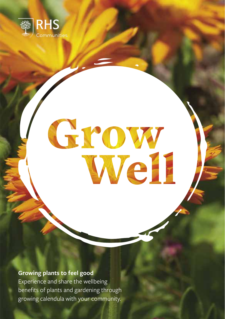

# Grow

**Growing plants to feel good**

Experience and share the wellbeing benefits of plants and gardening through growing calendula with your community.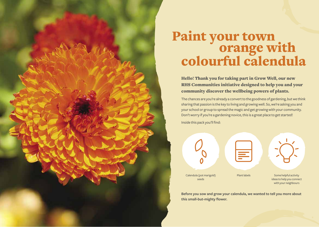# Paint your town<br>orange with<br>colourful calendula

Hello! Thank you for taking part in Grow Well, our new RHS Communities initiative designed to help you and your community discover the wellbeing powers of plants.

The chances are you're already a convert to the goodness of gardening, but we think sharing that passion is the key to living and growing well. So, we're asking you and your school or group to spread the magic and get growing with your community. Don't worry if you're a gardening novice, this is a great place to get started! Inside this pack you'll find:



**Before you sow and grow your calendula, we wanted to tell you more about this small-but-mighty flower.**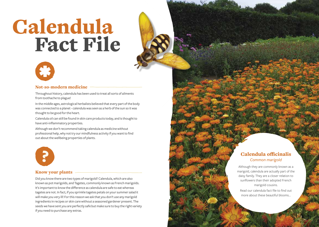# Calendula Fact File



# Not-so-modern medicine

Throughout history, calendula has been used to treat all sorts of ailments from toothache to plague!

In the middle ages, astrological herbalists believed that every part of the body was connected to a planet - calendula was seen as a herb of the sun so it was thought to be good for the heart.

Calendula oil can still be found in skin care products today, and is thought to have anti-inflammatory properties.

Although we don't recommend taking calendula as medicine without professional help, why not try our mindfulness activity if you want to find out about the wellbeing properties of plants.



### Know your plants

Did you know there are two types of marigold? Calendula, which are also known as pot marigolds, and Tagetes, commonly known as French marigolds. It's important to know the difference as calendula are safe to eat whereas tagetes are not. In fact, if you sprinkle tagetes petals on your summer salad it will make you very ill! For this reason we ask that you don't use any marigold ingredients in recipes or skin care without a seasoned gardener present. The seeds we have sent you are perfectly safe but make sure to buy the right variety if you need to purchase any extras.

# Calendula officinalis *Common marigold*

Although they are commonly known as a marigold, calendula are actually part of the daisy family. They are a closer relation to sunflowers than their adopted French marigold cousins. Read our calendula fact file to find out more about these beautiful blooms…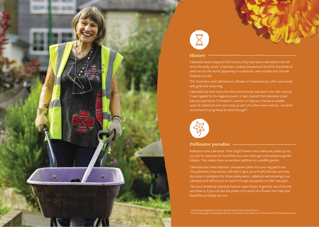



# **History**

Calendula have a long and rich history, they have been cultivated in the UK since the early 1,200s. It has been cooked, brewed and dried for hundreds of years across the world, appearing in cookbooks, wine recipes and civil war medical journals.

The Victorians used calendula as a flower of remembrance, often associated with grief and mourning.

Calendula has even had a few less conventional uses and in the 16th century it was regaled for its magical powers. It was claimed that calendula could help you see fairies if brewed in a potion or help you choose a suitable suitor if rubbed all over your body as part of a white wine mixture… we don't recommend trying these at home though!<sup>2</sup>



### Pollinator paradise

Pollinators love calendula! Their bright flowers are a welcome pollen picnic, not just for bees but for hoverflies too, who often get overlooked as garden helpers. This makes them an excellent addition to a wildlife garden.

Calendula also make fantastic companion plants for your veg patch too. The pollinators they attract will help to give you a fruitful harvest and they also draw in predators for those pesky pests. Ladybirds and lacewings love calendula and will be sure to munch though any aphids on their way past.

The most beneficial calendula have an open flower. A general rule of thumb we follow is, if you can see the pollen rich centre of a flower then bees and butterflies probably can too.

t https://oldoperatingtheatre.com/from-the-herb-garret-dried-marigold-flowers/<br>https://books.google.co.uk/books/about/Rodale\_s\_Illustrated\_Encyclopedia\_of\_Her.html?id=htGD3Y7WNxwC&redir\_esc=y ?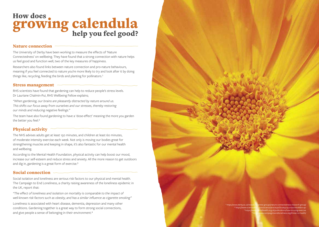# How does. **rowing calendula**<br>help you feel good?

## Nature connection

The University of Derby have been working to measure the effects of 'Nature Connectedness' on wellbeing. They have found that a strong connection with nature helps us feel good and function well, two of the key measures of happiness.

Researchers also found links between nature connection and pro-nature behaviours, meaning if you feel connected to nature you're more likely to try and look after it by doing things like, recycling, feeding the birds and planting for pollinators.<sup>1</sup>

# Stress management

RHS scientists have found that gardening can help to reduce people's stress levels. Dr Lauriane Chalmin-Pui, RHS Wellbeing Fellow explains;

*"When gardening, our brains are pleasantly distracted by nature around us. This shifts our focus away from ourselves and our stresses, thereby restoring our minds and reducing negative feelings."*

The team have also found gardening to have a 'dose-effect' meaning the more you garden the better you feel.²

# Physical activity

The NHS advises adults get at least 150 minutes, and children at least 60 minutes, of moderate intensity exercise each week. Not only is moving our bodies great for strengthening muscles and keeping in shape, it's also fantastic for our mental health and wellbeing.

According to the Mental Health Foundation, physical activity can help boost our mood, increase our self-esteem and reduce stress and anxiety. All the more reason to get outdoors and dig in, gardening is a great form of exercise.<sup>3</sup>

# Social connection

Social isolation and loneliness are serious risk factors to our physical and mental health. The Campaign to End Loneliness, a charity raising awareness of the loneliness epidemic in the UK, report that:

*"The effect of loneliness and isolation on mortality is comparable to the impact of well-known risk factors such as obesity, and has a similar influence as cigarette smoking"*

Loneliness is associated with heart disease, dementia, depression and many other conditions. Gardening together is a great way to form strong social connections, and give people a sense of belonging in their environment.<sup>4</sup>

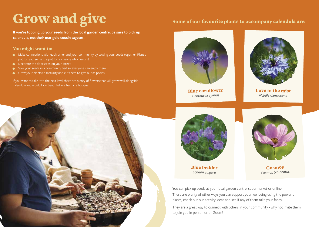# Grow and give

**If you're topping up your seeds from the local garden centre, be sure to pick up calendula, not their marigold cousin tagetes.**

# You might want to:

- $\bullet$  Make connections with each other and your community by sowing your seeds together. Plant a pot for yourself and a pot for someone who needs it
- Decorate the doorsteps on your street
- Sow your seeds in a community bed so everyone can enjoy them  $\bullet$
- Grow your plants to maturity and cut them to give out as posies  $\bullet$

If you want to take it to the next level there are plenty of flowers that will grow well alongside calendula and would look beautiful in a bed or a bouquet.

# Some of our favourite plants to accompany calendula are:



Blue cornflower *Centaurea cyanus*



Love in the mist *Nigella damascena*



Blue bedder *Echium vulgare*



Cosmos *Cosmos bipinnatus*

You can pick up seeds at your local garden centre, supermarket or online. There are plenty of other ways you can support your wellbeing using the power of plants, check out our activity ideas and see if any of them take your fancy.

They are a great way to connect with others in your community - why not invite them to join you in person or on Zoom?